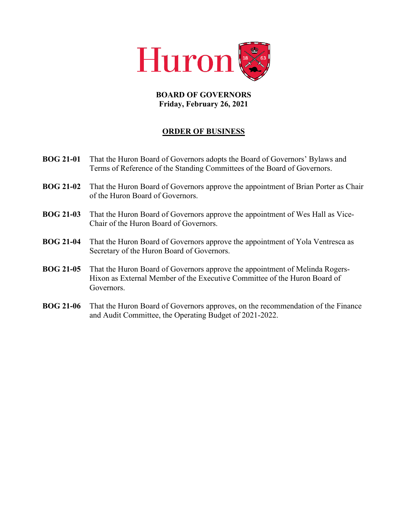

## **BOARD OF GOVERNORS Friday, February 26, 2021**

## **ORDER OF BUSINESS**

- **BOG 21-01** That the Huron Board of Governors adopts the Board of Governors' Bylaws and Terms of Reference of the Standing Committees of the Board of Governors.
- **BOG 21-02** That the Huron Board of Governors approve the appointment of Brian Porter as Chair of the Huron Board of Governors.
- **BOG 21-03** That the Huron Board of Governors approve the appointment of Wes Hall as Vice-Chair of the Huron Board of Governors.
- **BOG 21-04** That the Huron Board of Governors approve the appointment of Yola Ventresca as Secretary of the Huron Board of Governors.
- **BOG 21-05** That the Huron Board of Governors approve the appointment of Melinda Rogers-Hixon as External Member of the Executive Committee of the Huron Board of Governors.
- **BOG 21-06** That the Huron Board of Governors approves, on the recommendation of the Finance and Audit Committee, the Operating Budget of 2021-2022.